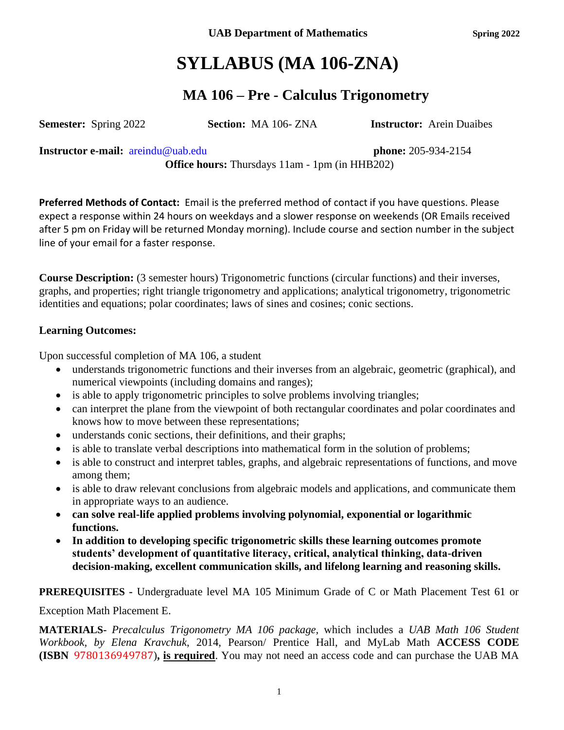UAB Department of Mathematics **Spring** 2022

# **SYLLABUS (MA 106-ZNA)**

## **MA 106 – Pre - Calculus Trigonometry**

**Semester:** Spring 2022 **Section:** MA 106- ZNA **Instructor:** Arein Duaibes

**Instructor e-mail:** [areindu@uab.edu](mailto:areindu@uab.edu) **phone:** 205-934-2154

**Office hours:** Thursdays 11am - 1pm (in HHB202)

**Preferred Methods of Contact:** Email is the preferred method of contact if you have questions. Please expect a response within 24 hours on weekdays and a slower response on weekends (OR Emails received after 5 pm on Friday will be returned Monday morning). Include course and section number in the subject line of your email for a faster response.

**Course Description:** (3 semester hours) Trigonometric functions (circular functions) and their inverses, graphs, and properties; right triangle trigonometry and applications; analytical trigonometry, trigonometric identities and equations; polar coordinates; laws of sines and cosines; conic sections.

### **Learning Outcomes:**

Upon successful completion of MA 106, a student

- understands trigonometric functions and their inverses from an algebraic, geometric (graphical), and numerical viewpoints (including domains and ranges);
- is able to apply trigonometric principles to solve problems involving triangles;
- can interpret the plane from the viewpoint of both rectangular coordinates and polar coordinates and knows how to move between these representations;
- understands conic sections, their definitions, and their graphs;
- is able to translate verbal descriptions into mathematical form in the solution of problems;
- is able to construct and interpret tables, graphs, and algebraic representations of functions, and move among them;
- is able to draw relevant conclusions from algebraic models and applications, and communicate them in appropriate ways to an audience.
- **can solve real-life applied problems involving polynomial, exponential or logarithmic functions.**
- **In addition to developing specific trigonometric skills these learning outcomes promote students' development of quantitative literacy, critical, analytical thinking, data-driven decision-making, excellent communication skills, and lifelong learning and reasoning skills.**

### **PREREQUISITES -** Undergraduate level MA 105 Minimum Grade of C or Math Placement Test 61 or

Exception Math Placement E.

**MATERIALS-** *Precalculus Trigonometry MA 106 package,* which includes a *UAB Math 106 Student Workbook, by Elena Kravchuk*, 2014, Pearson/ Prentice Hall, and MyLab Math **ACCESS CODE (ISBN** 9780136949787)**, is required**. You may not need an access code and can purchase the UAB MA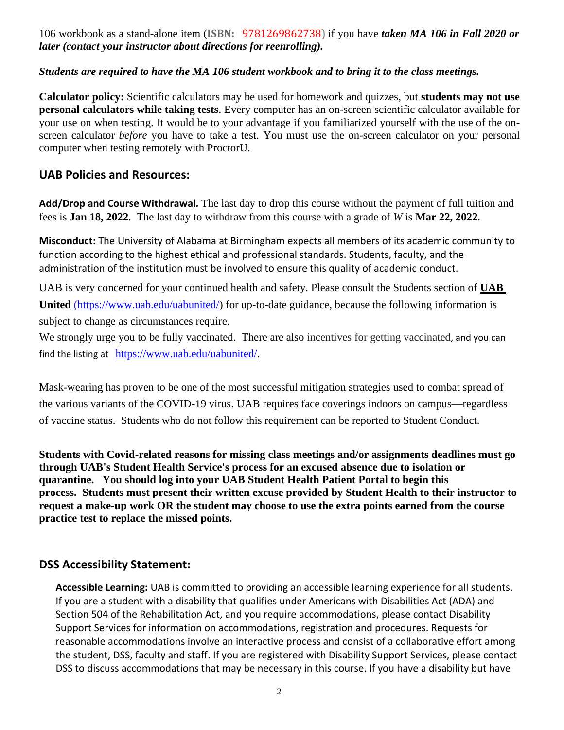106 workbook as a stand-alone item (**ISBN:** 9781269862738) if you have *taken MA 106 in Fall 2020 or later (contact your instructor about directions for reenrolling).*

### *Students are required to have the MA 106 student workbook and to bring it to the class meetings.*

**Calculator policy:** Scientific calculators may be used for homework and quizzes, but **students may not use personal calculators while taking tests**. Every computer has an on-screen scientific calculator available for your use on when testing. It would be to your advantage if you familiarized yourself with the use of the onscreen calculator *before* you have to take a test. You must use the on-screen calculator on your personal computer when testing remotely with ProctorU.

### **UAB Policies and Resources:**

**Add/Drop and Course Withdrawal***.* The last day to drop this course without the payment of full tuition and fees is **Jan 18, 2022**. The last day to withdraw from this course with a grade of *W* is **Mar 22, 2022**.

**Misconduct:** The University of Alabama at Birmingham expects all members of its academic community to function according to the highest ethical and professional standards. Students, faculty, and the administration of the institution must be involved to ensure this quality of academic conduct.

UAB is very concerned for your continued health and safety. Please consult the Students section of **UAB**  United [\(https://www.uab.edu/uabunited/\)](https://www.uab.edu/uabunited/) for up-to-date guidance, because the following information is subject to change as circumstances require.

We strongly urge you to be fully vaccinated. There are also [incentives for getting vaccinated](https://www.uab.edu/students/health/), and you can find the listing at [https://www.uab.edu/uabunited/.](https://www.uab.edu/uabunited/)

Mask-wearing has proven to be one of the most successful mitigation strategies used to combat spread of the various variants of the COVID-19 virus. UAB requires face coverings indoors on campus—regardless of vaccine status. Students who do not follow this requirement can be reported to Student Conduct.

**Students with Covid-related reasons for missing class meetings and/or assignments deadlines must go through UAB's Student Health Service's process for an excused absence due to isolation or quarantine. You should log into your UAB Student Health Patient Portal to begin this process. Students must present their written excuse provided by Student Health to their instructor to request a make-up work OR the student may choose to use the extra points earned from the course practice test to replace the missed points.**

### **DSS Accessibility Statement:**

**Accessible Learning:** UAB is committed to providing an accessible learning experience for all students. If you are a student with a disability that qualifies under Americans with Disabilities Act (ADA) and Section 504 of the Rehabilitation Act, and you require accommodations, please contact Disability Support Services for information on accommodations, registration and procedures. Requests for reasonable accommodations involve an interactive process and consist of a collaborative effort among the student, DSS, faculty and staff. If you are registered with Disability Support Services, please contact DSS to discuss accommodations that may be necessary in this course. If you have a disability but have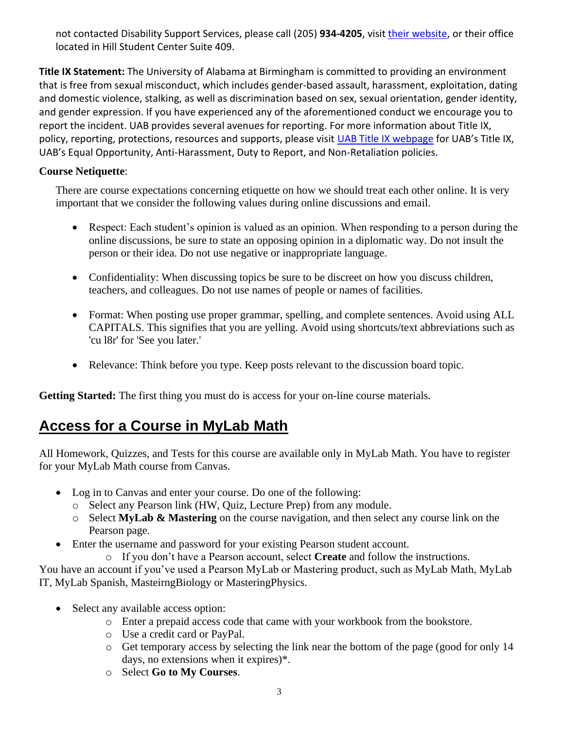not contacted Disability Support Services, please call (205) 934-4205, visit *their website*, or their office located in Hill Student Center Suite 409.

**Title IX Statement:** The University of Alabama at Birmingham is committed to providing an environment that is free from sexual misconduct, which includes gender-based assault, harassment, exploitation, dating and domestic violence, stalking, as well as discrimination based on sex, sexual orientation, gender identity, and gender expression. If you have experienced any of the aforementioned conduct we encourage you to report the incident. UAB provides several avenues for reporting. For more information about Title IX, policy, reporting, protections, resources and supports, please visit [UAB Title IX webpage](http://www.uab.edu/titleix) for UAB's Title IX, UAB's Equal Opportunity, Anti-Harassment, Duty to Report, and Non-Retaliation policies.

### **Course Netiquette**:

There are course expectations concerning etiquette on how we should treat each other online. It is very important that we consider the following values during online discussions and email.

- Respect: Each student's opinion is valued as an opinion. When responding to a person during the online discussions, be sure to state an opposing opinion in a diplomatic way. Do not insult the person or their idea. Do not use negative or inappropriate language.
- Confidentiality: When discussing topics be sure to be discreet on how you discuss children, teachers, and colleagues. Do not use names of people or names of facilities.
- Format: When posting use proper grammar, spelling, and complete sentences. Avoid using ALL CAPITALS. This signifies that you are yelling. Avoid using shortcuts/text abbreviations such as 'cu l8r' for 'See you later.'
- Relevance: Think before you type. Keep posts relevant to the discussion board topic.

**Getting Started:** The first thing you must do is access for your on-line course materials.

## **Access for a Course in MyLab Math**

All Homework, Quizzes, and Tests for this course are available only in MyLab Math. You have to register for your MyLab Math course from Canvas.

- Log in to Canvas and enter your course. Do one of the following:
	- o Select any Pearson link (HW, Quiz, Lecture Prep) from any module.
	- o Select **MyLab & Mastering** on the course navigation, and then select any course link on the Pearson page.
- Enter the username and password for your existing Pearson student account.
	- o If you don't have a Pearson account, select **Create** and follow the instructions.

You have an account if you've used a Pearson MyLab or Mastering product, such as MyLab Math, MyLab IT, MyLab Spanish, MasteirngBiology or MasteringPhysics.

- Select any available access option:
	- o Enter a prepaid access code that came with your workbook from the bookstore.
	- o Use a credit card or PayPal.
	- o Get temporary access by selecting the link near the bottom of the page (good for only 14 days, no extensions when it expires)\*.
	- o Select **Go to My Courses**.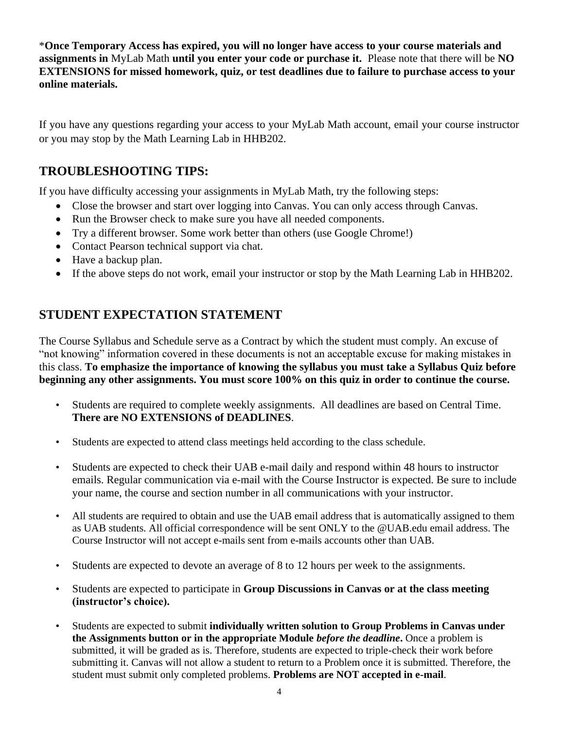\***Once Temporary Access has expired, you will no longer have access to your course materials and assignments in** MyLab Math **until you enter your code or purchase it.** Please note that there will be **NO EXTENSIONS for missed homework, quiz, or test deadlines due to failure to purchase access to your online materials.**

If you have any questions regarding your access to your MyLab Math account, email your course instructor or you may stop by the Math Learning Lab in HHB202.

### **TROUBLESHOOTING TIPS:**

If you have difficulty accessing your assignments in MyLab Math, try the following steps:

- Close the browser and start over logging into Canvas. You can only access through Canvas.
- Run the Browser check to make sure you have all needed components.
- Try a different browser. Some work better than others (use Google Chrome!)
- Contact Pearson technical support via chat.
- Have a backup plan.
- If the above steps do not work, email your instructor or stop by the Math Learning Lab in HHB202.

### **STUDENT EXPECTATION STATEMENT**

The Course Syllabus and Schedule serve as a Contract by which the student must comply. An excuse of "not knowing" information covered in these documents is not an acceptable excuse for making mistakes in this class. **To emphasize the importance of knowing the syllabus you must take a Syllabus Quiz before beginning any other assignments. You must score 100% on this quiz in order to continue the course.**

- Students are required to complete weekly assignments. All deadlines are based on Central Time. **There are NO EXTENSIONS of DEADLINES**.
- Students are expected to attend class meetings held according to the class schedule.
- Students are expected to check their UAB e-mail daily and respond within 48 hours to instructor emails. Regular communication via e-mail with the Course Instructor is expected. Be sure to include your name, the course and section number in all communications with your instructor.
- All students are required to obtain and use the UAB email address that is automatically assigned to them as UAB students. All official correspondence will be sent ONLY to the @UAB.edu email address. The Course Instructor will not accept e-mails sent from e-mails accounts other than UAB.
- Students are expected to devote an average of 8 to 12 hours per week to the assignments.
- Students are expected to participate in **Group Discussions in Canvas or at the class meeting (instructor's choice).**
- Students are expected to submit **individually written solution to Group Problems in Canvas under the Assignments button or in the appropriate Module** *before the deadline***.** Once a problem is submitted, it will be graded as is. Therefore, students are expected to triple-check their work before submitting it. Canvas will not allow a student to return to a Problem once it is submitted. Therefore, the student must submit only completed problems. **Problems are NOT accepted in e-mail**.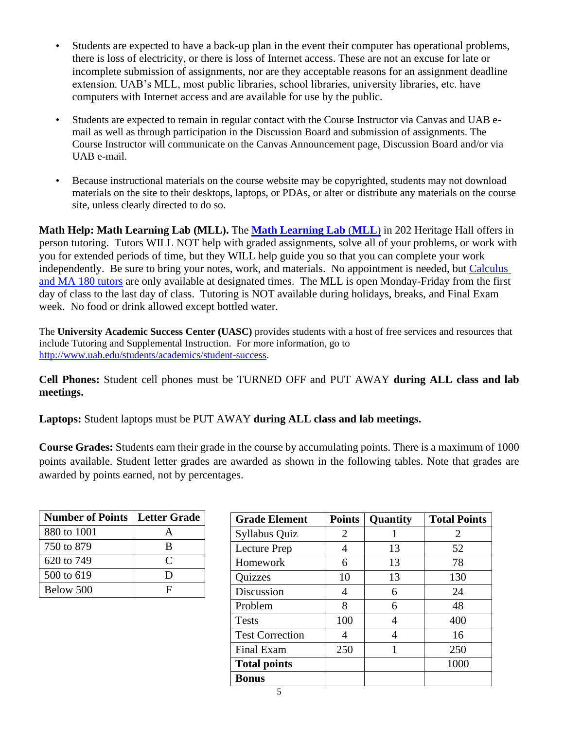- Students are expected to have a back-up plan in the event their computer has operational problems, there is loss of electricity, or there is loss of Internet access. These are not an excuse for late or incomplete submission of assignments, nor are they acceptable reasons for an assignment deadline extension. UAB's MLL, most public libraries, school libraries, university libraries, etc. have computers with Internet access and are available for use by the public.
- Students are expected to remain in regular contact with the Course Instructor via Canvas and UAB email as well as through participation in the Discussion Board and submission of assignments. The Course Instructor will communicate on the Canvas Announcement page, Discussion Board and/or via UAB e-mail.
- Because instructional materials on the course website may be copyrighted, students may not download materials on the site to their desktops, laptops, or PDAs, or alter or distribute any materials on the course site, unless clearly directed to do so.

**Math Help: Math Learning Lab (MLL).** The **[Math Learning Lab](https://www.uab.edu/cas/mathematics/student-resources/math-learning-lab)** (**MLL**) in 202 Heritage Hall offers in person tutoring. Tutors WILL NOT help with graded assignments, solve all of your problems, or work with you for extended periods of time, but they WILL help guide you so that you can complete your work independently. Be sure to bring your notes, work, and materials. No appointment is needed, but [Calculus](https://calendar.google.com/calendar/embed?src=qcjfl97lf5j15cg0oae8llirm0@group.calendar.google.com&ctz=America/Chicago&mode=WEEK&gsessionid=OK)  [and MA 180 tutors](https://calendar.google.com/calendar/embed?src=qcjfl97lf5j15cg0oae8llirm0@group.calendar.google.com&ctz=America/Chicago&mode=WEEK&gsessionid=OK) are only available at designated times. The MLL is open Monday-Friday from the first day of class to the last day of class. Tutoring is NOT available during holidays, breaks, and Final Exam week. No food or drink allowed except bottled water.

The **University Academic Success Center (UASC)** provides students with a host of free services and resources that include Tutoring and Supplemental Instruction. For more information, go to [http://www.uab.edu/students/academics/student-success.](http://www.uab.edu/students/academics/student-success)

**Cell Phones:** Student cell phones must be TURNED OFF and PUT AWAY **during ALL class and lab meetings.**

**Laptops:** Student laptops must be PUT AWAY **during ALL class and lab meetings.**

**Course Grades:** Students earn their grade in the course by accumulating points. There is a maximum of 1000 points available. Student letter grades are awarded as shown in the following tables. Note that grades are awarded by points earned, not by percentages.

| <b>Number of Points   Letter Grade</b> |           |
|----------------------------------------|-----------|
| 880 to 1001                            |           |
| 750 to 879                             | R         |
| 620 to 749                             | $\subset$ |
| 500 to 619                             | נ ו       |
| Below 500                              | Е         |

| <b>Grade Element</b>   | <b>Points</b> | Quantity | <b>Total Points</b>   |
|------------------------|---------------|----------|-----------------------|
| Syllabus Quiz          | 2             |          | $\mathcal{D}_{\cdot}$ |
| Lecture Prep           | 4             | 13       | 52                    |
| Homework               | 6             | 13       | 78                    |
| Quizzes                | 10            | 13       | 130                   |
| Discussion             | 4             | 6        | 24                    |
| Problem                | 8             | 6        | 48                    |
| <b>Tests</b>           | 100           |          | 400                   |
| <b>Test Correction</b> |               | 4        | 16                    |
| <b>Final Exam</b>      | 250           |          | 250                   |
| <b>Total points</b>    |               |          | 1000                  |
| <b>Bonus</b>           |               |          |                       |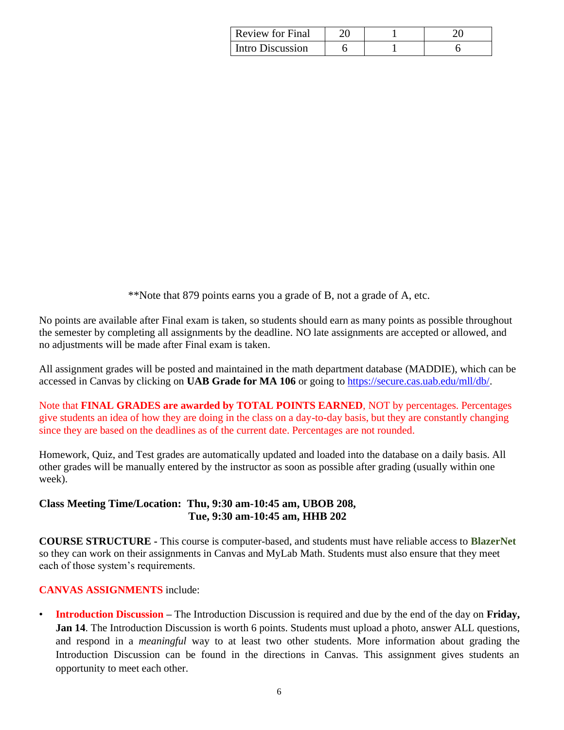| <b>Review for Final</b> |  |  |
|-------------------------|--|--|
| Intro Discussion        |  |  |

\*\*Note that 879 points earns you a grade of B, not a grade of A, etc.

No points are available after Final exam is taken, so students should earn as many points as possible throughout the semester by completing all assignments by the deadline. NO late assignments are accepted or allowed, and no adjustments will be made after Final exam is taken.

All assignment grades will be posted and maintained in the math department database (MADDIE), which can be accessed in Canvas by clicking on **UAB Grade for MA 106** or going to https://secure.cas.uab.edu/mll/db/.

Note that **FINAL GRADES are awarded by TOTAL POINTS EARNED**, NOT by percentages. Percentages give students an idea of how they are doing in the class on a day-to-day basis, but they are constantly changing since they are based on the deadlines as of the current date. Percentages are not rounded.

Homework, Quiz, and Test grades are automatically updated and loaded into the database on a daily basis. All other grades will be manually entered by the instructor as soon as possible after grading (usually within one week).

### **Class Meeting Time/Location: Thu, 9:30 am-10:45 am, UBOB 208, Tue, 9:30 am-10:45 am, HHB 202**

**COURSE STRUCTURE -** This course is computer-based, and students must have reliable access to **BlazerNet** so they can work on their assignments in Canvas and MyLab Math. Students must also ensure that they meet each of those system's requirements.

### **CANVAS ASSIGNMENTS** include:

• **Introduction Discussion –** The Introduction Discussion is required and due by the end of the day on **Friday, Jan 14**. The Introduction Discussion is worth 6 points. Students must upload a photo, answer ALL questions, and respond in a *meaningful* way to at least two other students. More information about grading the Introduction Discussion can be found in the directions in Canvas. This assignment gives students an opportunity to meet each other.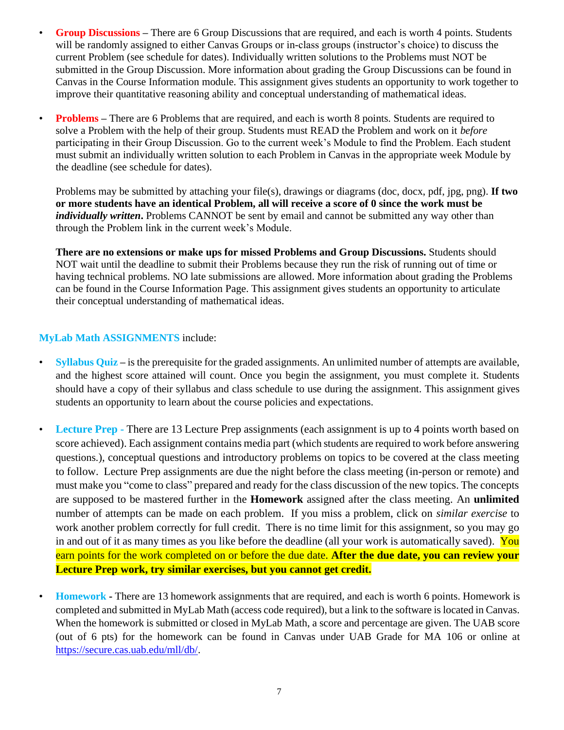- **Group Discussions –** There are 6 Group Discussions that are required, and each is worth 4 points. Students will be randomly assigned to either Canvas Groups or in-class groups (instructor's choice) to discuss the current Problem (see schedule for dates). Individually written solutions to the Problems must NOT be submitted in the Group Discussion. More information about grading the Group Discussions can be found in Canvas in the Course Information module. This assignment gives students an opportunity to work together to improve their quantitative reasoning ability and conceptual understanding of mathematical ideas.
- **Problems** There are 6 Problems that are required, and each is worth 8 points. Students are required to solve a Problem with the help of their group. Students must READ the Problem and work on it *before*  participating in their Group Discussion. Go to the current week's Module to find the Problem. Each student must submit an individually written solution to each Problem in Canvas in the appropriate week Module by the deadline (see schedule for dates).

Problems may be submitted by attaching your file(s), drawings or diagrams (doc, docx, pdf, jpg, png). **If two or more students have an identical Problem, all will receive a score of 0 since the work must be**  *individually written***.** Problems CANNOT be sent by email and cannot be submitted any way other than through the Problem link in the current week's Module.

**There are no extensions or make ups for missed Problems and Group Discussions.** Students should NOT wait until the deadline to submit their Problems because they run the risk of running out of time or having technical problems. NO late submissions are allowed. More information about grading the Problems can be found in the Course Information Page. This assignment gives students an opportunity to articulate their conceptual understanding of mathematical ideas.

### **MyLab Math ASSIGNMENTS** include:

- **Syllabus Quiz** is the prerequisite for the graded assignments. An unlimited number of attempts are available, and the highest score attained will count. Once you begin the assignment, you must complete it. Students should have a copy of their syllabus and class schedule to use during the assignment. This assignment gives students an opportunity to learn about the course policies and expectations.
- **Lecture Prep** There are 13 Lecture Prep assignments (each assignment is up to 4 points worth based on score achieved). Each assignment contains media part (which students are required to work before answering questions.), conceptual questions and introductory problems on topics to be covered at the class meeting to follow. Lecture Prep assignments are due the night before the class meeting (in-person or remote) and must make you "come to class" prepared and ready for the class discussion of the new topics. The concepts are supposed to be mastered further in the **Homework** assigned after the class meeting. An **unlimited** number of attempts can be made on each problem. If you miss a problem, click on *similar exercise* to work another problem correctly for full credit. There is no time limit for this assignment, so you may go in and out of it as many times as you like before the deadline (all your work is automatically saved). You earn points for the work completed on or before the due date. **After the due date, you can review your Lecture Prep work, try similar exercises, but you cannot get credit.**
- **Homework -** There are 13 homework assignments that are required, and each is worth 6 points. Homework is completed and submitted in MyLab Math (access code required), but a link to the software is located in Canvas. When the homework is submitted or closed in MyLab Math, a score and percentage are given. The UAB score (out of 6 pts) for the homework can be found in Canvas under UAB Grade for MA 106 or online at [https://secure.cas.uab.edu/mll/db/.](https://secure.cas.uab.edu/mll/db/)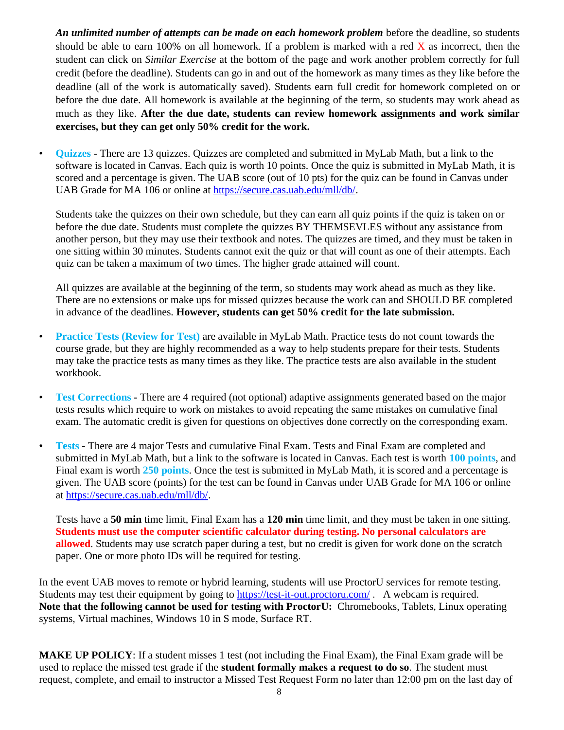*An unlimited number of attempts can be made on each homework problem* before the deadline, so students should be able to earn 100% on all homework. If a problem is marked with a red  $\bar{X}$  as incorrect, then the student can click on *Similar Exercise* at the bottom of the page and work another problem correctly for full credit (before the deadline). Students can go in and out of the homework as many times as they like before the deadline (all of the work is automatically saved). Students earn full credit for homework completed on or before the due date. All homework is available at the beginning of the term, so students may work ahead as much as they like. **After the due date, students can review homework assignments and work similar exercises, but they can get only 50% credit for the work.** 

• **Quizzes -** There are 13 quizzes. Quizzes are completed and submitted in MyLab Math, but a link to the software is located in Canvas. Each quiz is worth 10 points. Once the quiz is submitted in MyLab Math, it is scored and a percentage is given. The UAB score (out of 10 pts) for the quiz can be found in Canvas under UAB Grade for MA 106 or online at [https://secure.cas.uab.edu/mll/db/.](https://secure.cas.uab.edu/mll/db/)

Students take the quizzes on their own schedule, but they can earn all quiz points if the quiz is taken on or before the due date. Students must complete the quizzes BY THEMSEVLES without any assistance from another person, but they may use their textbook and notes. The quizzes are timed, and they must be taken in one sitting within 30 minutes. Students cannot exit the quiz or that will count as one of their attempts. Each quiz can be taken a maximum of two times. The higher grade attained will count.

All quizzes are available at the beginning of the term, so students may work ahead as much as they like. There are no extensions or make ups for missed quizzes because the work can and SHOULD BE completed in advance of the deadlines. **However, students can get 50% credit for the late submission.**

- **Practice Tests (Review for Test)** are available in MyLab Math. Practice tests do not count towards the course grade, but they are highly recommended as a way to help students prepare for their tests. Students may take the practice tests as many times as they like. The practice tests are also available in the student workbook.
- **Test Corrections -** There are 4 required (not optional) adaptive assignments generated based on the major tests results which require to work on mistakes to avoid repeating the same mistakes on cumulative final exam. The automatic credit is given for questions on objectives done correctly on the corresponding exam.
- **Tests -** There are 4 major Tests and cumulative Final Exam. Tests and Final Exam are completed and submitted in MyLab Math, but a link to the software is located in Canvas. Each test is worth **100 points**, and Final exam is worth **250 points**. Once the test is submitted in MyLab Math, it is scored and a percentage is given. The UAB score (points) for the test can be found in Canvas under UAB Grade for MA 106 or online at https://secure.cas.uab.edu/mll/db/.

Tests have a **50 min** time limit, Final Exam has a **120 min** time limit, and they must be taken in one sitting. **Students must use the computer scientific calculator during testing. No personal calculators are allowed**. Students may use scratch paper during a test, but no credit is given for work done on the scratch paper. One or more photo IDs will be required for testing.

In the event UAB moves to remote or hybrid learning, students will use ProctorU services for remote testing. Students may test their equipment by going to <https://test-it-out.proctoru.com/>. A webcam is required. **Note that the following cannot be used for testing with ProctorU:** Chromebooks, Tablets, Linux operating systems, Virtual machines, Windows 10 in S mode, Surface RT.

**MAKE UP POLICY**: If a student misses 1 test (not including the Final Exam), the Final Exam grade will be used to replace the missed test grade if the **student formally makes a request to do so**. The student must request, complete, and email to instructor a Missed Test Request Form no later than 12:00 pm on the last day of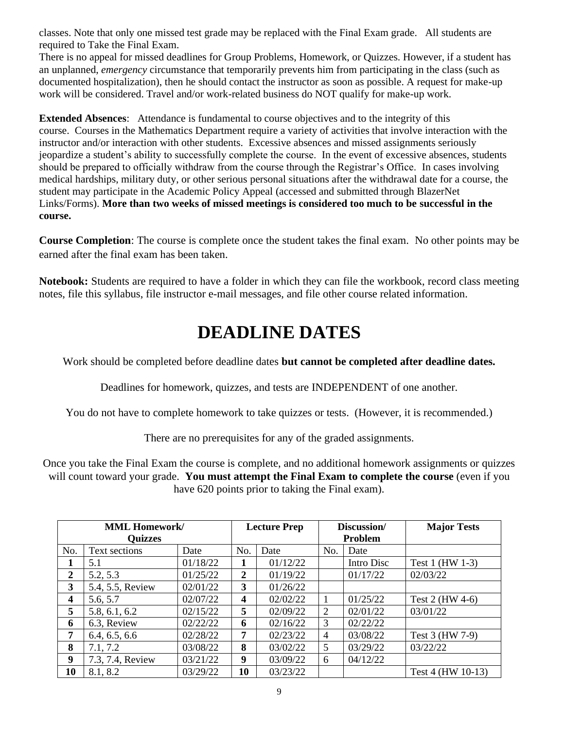classes. Note that only one missed test grade may be replaced with the Final Exam grade. All students are required to Take the Final Exam.

There is no appeal for missed deadlines for Group Problems, Homework, or Quizzes. However, if a student has an unplanned, *emergency* circumstance that temporarily prevents him from participating in the class (such as documented hospitalization), then he should contact the instructor as soon as possible. A request for make-up work will be considered. Travel and/or work-related business do NOT qualify for make-up work.

**Extended Absences**: Attendance is fundamental to course objectives and to the integrity of this course. Courses in the Mathematics Department require a variety of activities that involve interaction with the instructor and/or interaction with other students. Excessive absences and missed assignments seriously jeopardize a student's ability to successfully complete the course. In the event of excessive absences, students should be prepared to officially withdraw from the course through the Registrar's Office. In cases involving medical hardships, military duty, or other serious personal situations after the withdrawal date for a course, the student may participate in the Academic Policy Appeal (accessed and submitted through BlazerNet Links/Forms). **More than two weeks of missed meetings is considered too much to be successful in the course.**

**Course Completion**: The course is complete once the student takes the final exam. No other points may be earned after the final exam has been taken.

**Notebook:** Students are required to have a folder in which they can file the workbook, record class meeting notes, file this syllabus, file instructor e-mail messages, and file other course related information.

# **DEADLINE DATES**

Work should be completed before deadline dates **but cannot be completed after deadline dates.**

Deadlines for homework, quizzes, and tests are INDEPENDENT of one another.

You do not have to complete homework to take quizzes or tests. (However, it is recommended.)

There are no prerequisites for any of the graded assignments.

Once you take the Final Exam the course is complete, and no additional homework assignments or quizzes will count toward your grade. **You must attempt the Final Exam to complete the course** (even if you have 620 points prior to taking the Final exam).

| <b>MML Homework/</b> |                  | <b>Lecture Prep</b> |     | Discussion/ |                | <b>Major Tests</b> |                   |
|----------------------|------------------|---------------------|-----|-------------|----------------|--------------------|-------------------|
| <b>Quizzes</b>       |                  |                     |     |             | Problem        |                    |                   |
| No.                  | Text sections    | Date                | No. | Date        | No.            | Date               |                   |
|                      | 5.1              | 01/18/22            |     | 01/12/22    |                | Intro Disc         | Test 1 (HW 1-3)   |
| 2                    | 5.2, 5.3         | 01/25/22            | 2   | 01/19/22    |                | 01/17/22           | 02/03/22          |
| 3                    | 5.4, 5.5, Review | 02/01/22            | 3   | 01/26/22    |                |                    |                   |
| $\boldsymbol{4}$     | 5.6, 5.7         | 02/07/22            | 4   | 02/02/22    |                | 01/25/22           | Test 2 (HW 4-6)   |
| 5                    | 5.8, 6.1, 6.2    | 02/15/22            | 5   | 02/09/22    | 2              | 02/01/22           | 03/01/22          |
| 6                    | 6.3, Review      | 02/22/22            | 6   | 02/16/22    | 3              | 02/22/22           |                   |
| 7                    | 6.4, 6.5, 6.6    | 02/28/22            | 7   | 02/23/22    | $\overline{4}$ | 03/08/22           | Test 3 (HW 7-9)   |
| 8                    | 7.1, 7.2         | 03/08/22            | 8   | 03/02/22    | 5              | 03/29/22           | 03/22/22          |
| 9                    | 7.3, 7.4, Review | 03/21/22            | 9   | 03/09/22    | 6              | 04/12/22           |                   |
| 10                   | 8.1, 8.2         | 03/29/22            | 10  | 03/23/22    |                |                    | Test 4 (HW 10-13) |